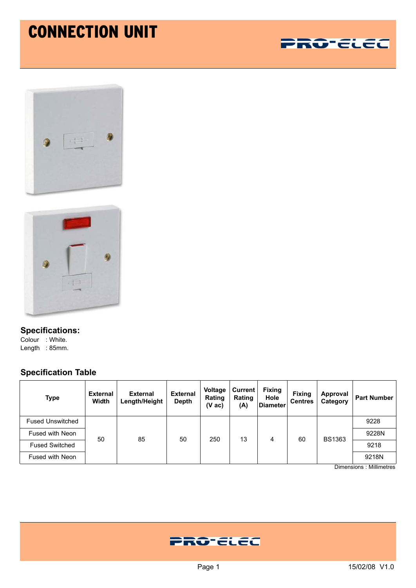## CONNECTION UNIT







**Specifications:** Colour : White. Length : 85mm.

## **Specification Table**

| <b>Type</b>             | <b>External</b><br>Width | <b>External</b><br>Length/Height | <b>External</b><br><b>Depth</b> | Voltage<br><b>Rating</b><br>$(V$ ac) | Current<br>Rating<br>(A) | <b>Fixing</b><br>Hole<br><b>Diameter</b> | <b>Fixing</b><br><b>Centres</b> | Approval<br>Category | <b>Part Number</b> |
|-------------------------|--------------------------|----------------------------------|---------------------------------|--------------------------------------|--------------------------|------------------------------------------|---------------------------------|----------------------|--------------------|
| <b>Fused Unswitched</b> | 50                       | 85                               | 50                              | 250                                  | 13                       | 4                                        | 60                              | <b>BS1363</b>        | 9228               |
| Fused with Neon         |                          |                                  |                                 |                                      |                          |                                          |                                 |                      | 9228N              |
| <b>Fused Switched</b>   |                          |                                  |                                 |                                      |                          |                                          |                                 |                      | 9218               |
| Fused with Neon         |                          |                                  |                                 |                                      |                          |                                          |                                 |                      | 9218N              |

Dimensions : Millimetres